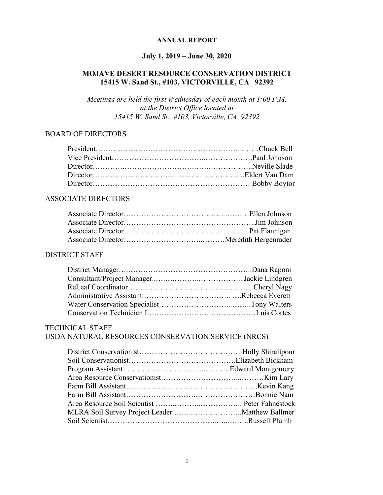#### **ANNUAL REPORT**

# **July 1, 2019 – June 30, 2020**

### **MOJAVE DESERT RESOURCE CONSERVATION DISTRICT 15415 W. Sand St., #103, VICTORVILLE, CA 92392**

*Meetings are held the first Wednesday of each month at 1:00 P.M. at the District Office located at 15415 W. Sand St., #103, Victorville, CA 92392*

#### BOARD OF DIRECTORS

#### ASSOCIATE DIRECTORS

#### DISTRICT STAFF

### TECHNICAL STAFF

### USDA NATURAL RESOURCES CONSERVATION SERVICE (NRCS)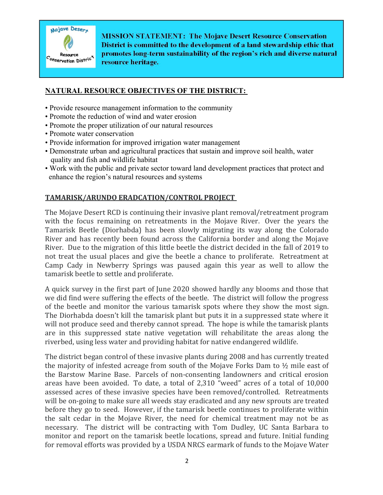

**MISSION STATEMENT: The Mojave Desert Resource Conservation** District is committed to the development of a land stewardship ethic that promotes long-term sustainability of the region's rich and diverse natural resource heritage.

#### **NATURAL RESOURCE OBJECTIVES OF THE DISTRICT:**

- Provide resource management information to the community
- Promote the reduction of wind and water erosion
- Promote the proper utilization of our natural resources
- Promote water conservation
- Provide information for improved irrigation water management
- Demonstrate urban and agricultural practices that sustain and improve soil health, water quality and fish and wildlife habitat
- Work with the public and private sector toward land development practices that protect and enhance the region's natural resources and systems

### **TAMARISK/ARUNDO ERADCATION/CONTROL PROJECT**

The Mojave Desert RCD is continuing their invasive plant removal/retreatment program with the focus remaining on retreatments in the Mojave River. Over the years the Tamarisk Beetle (Diorhabda) has been slowly migrating its way along the Colorado River and has recently been found across the California border and along the Mojave River. Due to the migration of this little beetle the district decided in the fall of 2019 to not treat the usual places and give the beetle a chance to proliferate. Retreatment at Camp Cady in Newberry Springs was paused again this year as well to allow the tamarisk beetle to settle and proliferate.

A quick survey in the first part of June 2020 showed hardly any blooms and those that we did find were suffering the effects of the beetle. The district will follow the progress of the beetle and monitor the various tamarisk spots where they show the most sign. The Diorhabda doesn't kill the tamarisk plant but puts it in a suppressed state where it will not produce seed and thereby cannot spread. The hope is while the tamarisk plants are in this suppressed state native vegetation will rehabilitate the areas along the riverbed, using less water and providing habitat for native endangered wildlife.

The district began control of these invasive plants during 2008 and has currently treated the majority of infested acreage from south of the Mojave Forks Dam to  $\frac{1}{2}$  mile east of the Barstow Marine Base. Parcels of non-consenting landowners and critical erosion areas have been avoided. To date, a total of 2,310 "weed" acres of a total of 10,000 assessed acres of these invasive species have been removed/controlled. Retreatments will be on-going to make sure all weeds stay eradicated and any new sprouts are treated before they go to seed. However, if the tamarisk beetle continues to proliferate within the salt cedar in the Mojave River, the need for chemical treatment may not be as necessary. The district will be contracting with Tom Dudley, UC Santa Barbara to monitor and report on the tamarisk beetle locations, spread and future. Initial funding for removal efforts was provided by a USDA NRCS earmark of funds to the Mojave Water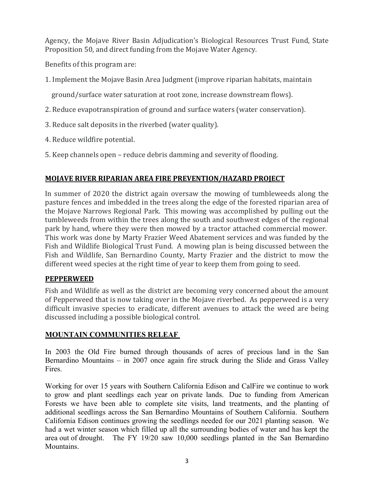Agency, the Mojave River Basin Adjudication's Biological Resources Trust Fund, State Proposition 50, and direct funding from the Mojave Water Agency.

Benefits of this program are:

1. Implement the Mojave Basin Area Judgment (improve riparian habitats, maintain

ground/surface water saturation at root zone, increase downstream flows).

- 2. Reduce evapotranspiration of ground and surface waters (water conservation).
- 3. Reduce salt deposits in the riverbed (water quality).
- 4. Reduce wildfire potential.
- 5. Keep channels open reduce debris damming and severity of flooding.

# **MOJAVE RIVER RIPARIAN AREA FIRE PREVENTION/HAZARD PROJECT**

In summer of 2020 the district again oversaw the mowing of tumbleweeds along the pasture fences and imbedded in the trees along the edge of the forested riparian area of the Mojave Narrows Regional Park. This mowing was accomplished by pulling out the tumbleweeds from within the trees along the south and southwest edges of the regional park by hand, where they were then mowed by a tractor attached commercial mower. This work was done by Marty Frazier Weed Abatement services and was funded by the Fish and Wildlife Biological Trust Fund. A mowing plan is being discussed between the Fish and Wildlife, San Bernardino County, Marty Frazier and the district to mow the different weed species at the right time of year to keep them from going to seed.

# **PEPPERWEED**

Fish and Wildlife as well as the district are becoming very concerned about the amount of Pepperweed that is now taking over in the Mojave riverbed. As pepperweed is a very difficult invasive species to eradicate, different avenues to attack the weed are being discussed including a possible biological control.

# **MOUNTAIN COMMUNITIES RELEAF**

In 2003 the Old Fire burned through thousands of acres of precious land in the San Bernardino Mountains – in 2007 once again fire struck during the Slide and Grass Valley Fires.

Working for over 15 years with Southern California Edison and CalFire we continue to work to grow and plant seedlings each year on private lands. Due to funding from American Forests we have been able to complete site visits, land treatments, and the planting of additional seedlings across the San Bernardino Mountains of Southern California. Southern California Edison continues growing the seedlings needed for our 2021 planting season. We had a wet winter season which filled up all the surrounding bodies of water and has kept the area out of drought. The FY 19/20 saw 10,000 seedlings planted in the San Bernardino **Mountains**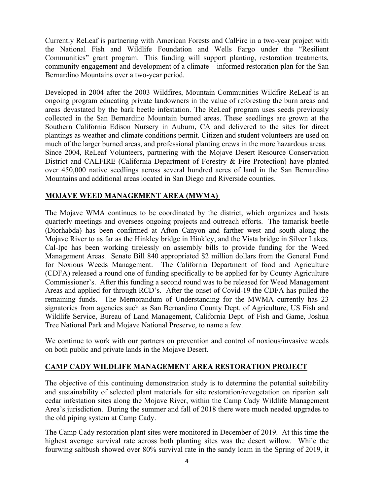Currently ReLeaf is partnering with American Forests and CalFire in a two-year project with the National Fish and Wildlife Foundation and Wells Fargo under the "Resilient Communities" grant program. This funding will support planting, restoration treatments, community engagement and development of a climate – informed restoration plan for the San Bernardino Mountains over a two-year period.

Developed in 2004 after the 2003 Wildfires, Mountain Communities Wildfire ReLeaf is an ongoing program educating private landowners in the value of reforesting the burn areas and areas devastated by the bark beetle infestation. The ReLeaf program uses seeds previously collected in the San Bernardino Mountain burned areas. These seedlings are grown at the Southern California Edison Nursery in Auburn, CA and delivered to the sites for direct plantings as weather and climate conditions permit. Citizen and student volunteers are used on much of the larger burned areas, and professional planting crews in the more hazardous areas. Since 2004, ReLeaf Volunteers, partnering with the Mojave Desert Resource Conservation District and CALFIRE (California Department of Forestry & Fire Protection) have planted over 450,000 native seedlings across several hundred acres of land in the San Bernardino Mountains and additional areas located in San Diego and Riverside counties.

### **MOJAVE WEED MANAGEMENT AREA (MWMA)**

The Mojave WMA continues to be coordinated by the district, which organizes and hosts quarterly meetings and oversees ongoing projects and outreach efforts. The tamarisk beetle (Diorhabda) has been confirmed at Afton Canyon and farther west and south along the Mojave River to as far as the Hinkley bridge in Hinkley, and the Vista bridge in Silver Lakes. Cal-Ipc has been working tirelessly on assembly bills to provide funding for the Weed Management Areas. Senate Bill 840 appropriated \$2 million dollars from the General Fund for Noxious Weeds Management. The California Department of food and Agriculture (CDFA) released a round one of funding specifically to be applied for by County Agriculture Commissioner's. After this funding a second round was to be released for Weed Management Areas and applied for through RCD's. After the onset of Covid-19 the CDFA has pulled the remaining funds. The Memorandum of Understanding for the MWMA currently has 23 signatories from agencies such as San Bernardino County Dept. of Agriculture, US Fish and Wildlife Service, Bureau of Land Management, California Dept. of Fish and Game, Joshua Tree National Park and Mojave National Preserve, to name a few.

We continue to work with our partners on prevention and control of noxious/invasive weeds on both public and private lands in the Mojave Desert.

### **CAMP CADY WILDLIFE MANAGEMENT AREA RESTORATION PROJECT**

The objective of this continuing demonstration study is to determine the potential suitability and sustainability of selected plant materials for site restoration/revegetation on riparian salt cedar infestation sites along the Mojave River, within the Camp Cady Wildlife Management Area's jurisdiction. During the summer and fall of 2018 there were much needed upgrades to the old piping system at Camp Cady.

The Camp Cady restoration plant sites were monitored in December of 2019. At this time the highest average survival rate across both planting sites was the desert willow. While the fourwing saltbush showed over 80% survival rate in the sandy loam in the Spring of 2019, it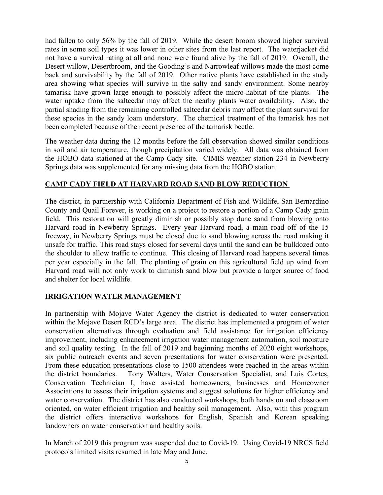had fallen to only 56% by the fall of 2019. While the desert broom showed higher survival rates in some soil types it was lower in other sites from the last report. The waterjacket did not have a survival rating at all and none were found alive by the fall of 2019. Overall, the Desert willow, Desertbroom, and the Gooding's and Narrowleaf willows made the most come back and survivability by the fall of 2019. Other native plants have established in the study area showing what species will survive in the salty and sandy environment. Some nearby tamarisk have grown large enough to possibly affect the micro-habitat of the plants. The water uptake from the saltcedar may affect the nearby plants water availability. Also, the partial shading from the remaining controlled saltcedar debris may affect the plant survival for these species in the sandy loam understory. The chemical treatment of the tamarisk has not been completed because of the recent presence of the tamarisk beetle.

The weather data during the 12 months before the fall observation showed similar conditions in soil and air temperature, though precipitation varied widely. All data was obtained from the HOBO data stationed at the Camp Cady site. CIMIS weather station 234 in Newberry Springs data was supplemented for any missing data from the HOBO station.

### **CAMP CADY FIELD AT HARVARD ROAD SAND BLOW REDUCTION**

The district, in partnership with California Department of Fish and Wildlife, San Bernardino County and Quail Forever, is working on a project to restore a portion of a Camp Cady grain field. This restoration will greatly diminish or possibly stop dune sand from blowing onto Harvard road in Newberry Springs. Every year Harvard road, a main road off of the 15 freeway, in Newberry Springs must be closed due to sand blowing across the road making it unsafe for traffic. This road stays closed for several days until the sand can be bulldozed onto the shoulder to allow traffic to continue. This closing of Harvard road happens several times per year especially in the fall. The planting of grain on this agricultural field up wind from Harvard road will not only work to diminish sand blow but provide a larger source of food and shelter for local wildlife.

### **IRRIGATION WATER MANAGEMENT**

In partnership with Mojave Water Agency the district is dedicated to water conservation within the Mojave Desert RCD's large area. The district has implemented a program of water conservation alternatives through evaluation and field assistance for irrigation efficiency improvement, including enhancement irrigation water management automation, soil moisture and soil quality testing. In the fall of 2019 and beginning months of 2020 eight workshops, six public outreach events and seven presentations for water conservation were presented. From these education presentations close to 1500 attendees were reached in the areas within the district boundaries. Tony Walters, Water Conservation Specialist, and Luis Cortes, Conservation Technician I, have assisted homeowners, businesses and Homeowner Associations to assess their irrigation systems and suggest solutions for higher efficiency and water conservation. The district has also conducted workshops, both hands on and classroom oriented, on water efficient irrigation and healthy soil management. Also, with this program the district offers interactive workshops for English, Spanish and Korean speaking landowners on water conservation and healthy soils.

In March of 2019 this program was suspended due to Covid-19. Using Covid-19 NRCS field protocols limited visits resumed in late May and June.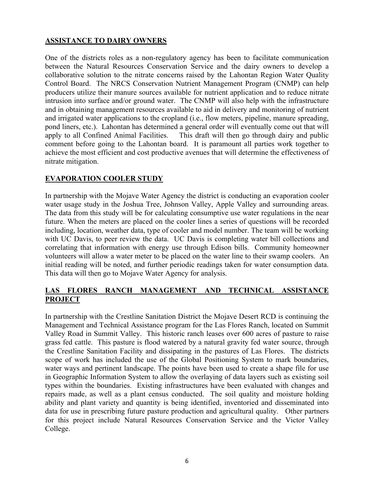#### **ASSISTANCE TO DAIRY OWNERS**

One of the districts roles as a non-regulatory agency has been to facilitate communication between the Natural Resources Conservation Service and the dairy owners to develop a collaborative solution to the nitrate concerns raised by the Lahontan Region Water Quality Control Board. The NRCS Conservation Nutrient Management Program (CNMP) can help producers utilize their manure sources available for nutrient application and to reduce nitrate intrusion into surface and/or ground water. The CNMP will also help with the infrastructure and in obtaining management resources available to aid in delivery and monitoring of nutrient and irrigated water applications to the cropland (i.e., flow meters, pipeline, manure spreading, pond liners, etc.). Lahontan has determined a general order will eventually come out that will apply to all Confined Animal Facilities. This draft will then go through dairy and public comment before going to the Lahontan board. It is paramount all parties work together to achieve the most efficient and cost productive avenues that will determine the effectiveness of nitrate mitigation.

#### **EVAPORATION COOLER STUDY**

In partnership with the Mojave Water Agency the district is conducting an evaporation cooler water usage study in the Joshua Tree, Johnson Valley, Apple Valley and surrounding areas. The data from this study will be for calculating consumptive use water regulations in the near future. When the meters are placed on the cooler lines a series of questions will be recorded including, location, weather data, type of cooler and model number. The team will be working with UC Davis, to peer review the data. UC Davis is completing water bill collections and correlating that information with energy use through Edison bills. Community homeowner volunteers will allow a water meter to be placed on the water line to their swamp coolers. An initial reading will be noted, and further periodic readings taken for water consumption data. This data will then go to Mojave Water Agency for analysis.

### **LAS FLORES RANCH MANAGEMENT AND TECHNICAL ASSISTANCE PROJECT**

In partnership with the Crestline Sanitation District the Mojave Desert RCD is continuing the Management and Technical Assistance program for the Las Flores Ranch, located on Summit Valley Road in Summit Valley. This historic ranch leases over 600 acres of pasture to raise grass fed cattle. This pasture is flood watered by a natural gravity fed water source, through the Crestline Sanitation Facility and dissipating in the pastures of Las Flores. The districts scope of work has included the use of the Global Positioning System to mark boundaries, water ways and pertinent landscape. The points have been used to create a shape file for use in Geographic Information System to allow the overlaying of data layers such as existing soil types within the boundaries. Existing infrastructures have been evaluated with changes and repairs made, as well as a plant census conducted. The soil quality and moisture holding ability and plant variety and quantity is being identified, inventoried and disseminated into data for use in prescribing future pasture production and agricultural quality. Other partners for this project include Natural Resources Conservation Service and the Victor Valley College.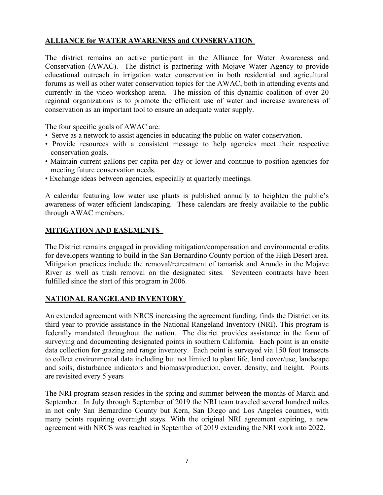### **ALLIANCE for WATER AWARENESS and CONSERVATION**

The district remains an active participant in the Alliance for Water Awareness and Conservation (AWAC). The district is partnering with Mojave Water Agency to provide educational outreach in irrigation water conservation in both residential and agricultural forums as well as other water conservation topics for the AWAC, both in attending events and currently in the video workshop arena. The mission of this dynamic coalition of over 20 regional organizations is to promote the efficient use of water and increase awareness of conservation as an important tool to ensure an adequate water supply.

The four specific goals of AWAC are:

- Serve as a network to assist agencies in educating the public on water conservation.
- Provide resources with a consistent message to help agencies meet their respective conservation goals.
- Maintain current gallons per capita per day or lower and continue to position agencies for meeting future conservation needs.
- Exchange ideas between agencies, especially at quarterly meetings.

A calendar featuring low water use plants is published annually to heighten the public's awareness of water efficient landscaping. These calendars are freely available to the public through AWAC members.

### **MITIGATION AND EASEMENTS**

The District remains engaged in providing mitigation/compensation and environmental credits for developers wanting to build in the San Bernardino County portion of the High Desert area. Mitigation practices include the removal/retreatment of tamarisk and Arundo in the Mojave River as well as trash removal on the designated sites. Seventeen contracts have been fulfilled since the start of this program in 2006.

### **NATIONAL RANGELAND INVENTORY**

An extended agreement with NRCS increasing the agreement funding, finds the District on its third year to provide assistance in the National Rangeland Inventory (NRI). This program is federally mandated throughout the nation. The district provides assistance in the form of surveying and documenting designated points in southern California. Each point is an onsite data collection for grazing and range inventory. Each point is surveyed via 150 foot transects to collect environmental data including but not limited to plant life, land cover/use, landscape and soils, disturbance indicators and biomass/production, cover, density, and height. Points are revisited every 5 years

The NRI program season resides in the spring and summer between the months of March and September. In July through September of 2019 the NRI team traveled several hundred miles in not only San Bernardino County but Kern, San Diego and Los Angeles counties, with many points requiring overnight stays. With the original NRI agreement expiring, a new agreement with NRCS was reached in September of 2019 extending the NRI work into 2022.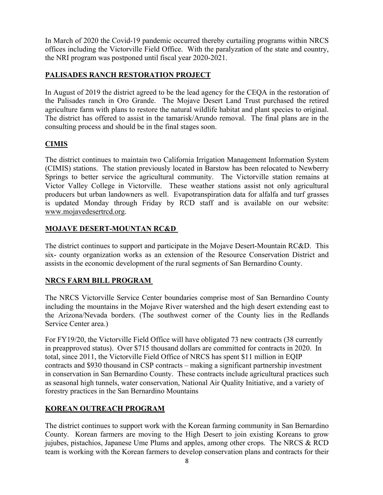In March of 2020 the Covid-19 pandemic occurred thereby curtailing programs within NRCS offices including the Victorville Field Office. With the paralyzation of the state and country, the NRI program was postponed until fiscal year 2020-2021.

### **PALISADES RANCH RESTORATION PROJECT**

In August of 2019 the district agreed to be the lead agency for the CEQA in the restoration of the Palisades ranch in Oro Grande. The Mojave Desert Land Trust purchased the retired agriculture farm with plans to restore the natural wildlife habitat and plant species to original. The district has offered to assist in the tamarisk/Arundo removal. The final plans are in the consulting process and should be in the final stages soon.

# **CIMIS**

The district continues to maintain two California Irrigation Management Information System (CIMIS) stations. The station previously located in Barstow has been relocated to Newberry Springs to better service the agricultural community. The Victorville station remains at Victor Valley College in Victorville. These weather stations assist not only agricultural producers but urban landowners as well. Evapotranspiration data for alfalfa and turf grasses is updated Monday through Friday by RCD staff and is available on our website: www.mojavedesertrcd.org.

# **MOJAVE DESERT-MOUNTAN RC&D**

The district continues to support and participate in the Mojave Desert-Mountain RC&D. This six- county organization works as an extension of the Resource Conservation District and assists in the economic development of the rural segments of San Bernardino County.

# **NRCS FARM BILL PROGRAM**

The NRCS Victorville Service Center boundaries comprise most of San Bernardino County including the mountains in the Mojave River watershed and the high desert extending east to the Arizona/Nevada borders. (The southwest corner of the County lies in the Redlands Service Center area.)

For FY19/20, the Victorville Field Office will have obligated 73 new contracts (38 currently in preapproved status). Over \$715 thousand dollars are committed for contracts in 2020. In total, since 2011, the Victorville Field Office of NRCS has spent \$11 million in EQIP contracts and \$930 thousand in CSP contracts – making a significant partnership investment in conservation in San Bernardino County. These contracts include agricultural practices such as seasonal high tunnels, water conservation, National Air Quality Initiative, and a variety of forestry practices in the San Bernardino Mountains

# **KOREAN OUTREACH PROGRAM**

The district continues to support work with the Korean farming community in San Bernardino County. Korean farmers are moving to the High Desert to join existing Koreans to grow jujubes, pistachios, Japanese Ume Plums and apples, among other crops. The NRCS & RCD team is working with the Korean farmers to develop conservation plans and contracts for their